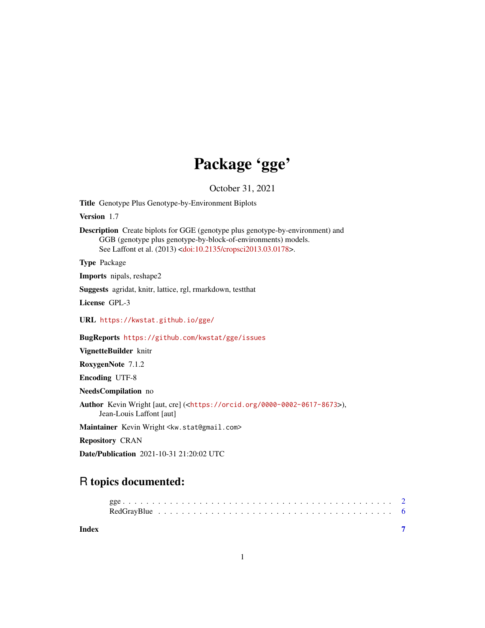# Package 'gge'

October 31, 2021

Title Genotype Plus Genotype-by-Environment Biplots

Version 1.7

Description Create biplots for GGE (genotype plus genotype-by-environment) and GGB (genotype plus genotype-by-block-of-environments) models. See Laffont et al. (2013) [<doi:10.2135/cropsci2013.03.0178>](https://doi.org/10.2135/cropsci2013.03.0178).

Type Package

Imports nipals, reshape2

Suggests agridat, knitr, lattice, rgl, rmarkdown, testthat

License GPL-3

URL <https://kwstat.github.io/gge/>

BugReports <https://github.com/kwstat/gge/issues>

VignetteBuilder knitr

RoxygenNote 7.1.2

Encoding UTF-8

NeedsCompilation no

Author Kevin Wright [aut, cre] (<<https://orcid.org/0000-0002-0617-8673>>), Jean-Louis Laffont [aut]

Maintainer Kevin Wright <kw.stat@gmail.com>

Repository CRAN

Date/Publication 2021-10-31 21:20:02 UTC

# R topics documented:

| Index |  |  |  |  |  |  |  |  |  |  |  |  |  |  |  |  |  |  |  |
|-------|--|--|--|--|--|--|--|--|--|--|--|--|--|--|--|--|--|--|--|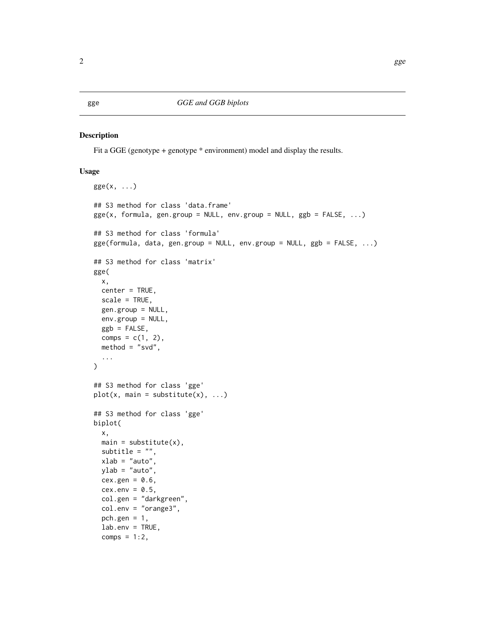# <span id="page-1-0"></span>Description

Fit a GGE (genotype + genotype \* environment) model and display the results.

## Usage

```
gge(x, \ldots)## S3 method for class 'data.frame'
gge(x, formula, gen.group = NULL, env.group = NULL, ggb = FALSE, ...)## S3 method for class 'formula'
gge(formula, data, gen.group = NULL, env.group = NULL, ggb = FALSE, ...)
## S3 method for class 'matrix'
gge(
 x,
  center = TRUE,
  scale = TRUE,
  gen.group = NULL,
 env.group = NULL,
  ggb = FALSE,
 comps = c(1, 2),
  method = "svd",...
\mathcal{L}## S3 method for class 'gge'
plot(x, main = substitute(x), ...)## S3 method for class 'gge'
biplot(
  x,
 main = substitute(x),
  subtitle = ",
  xlab = "auto",
 ylab = "auto",
 cex.gen = 0.6,
  cex.env = 0.5,
  col.gen = "darkgreen",
  col.env = "orange3",
  pch.gen = 1,
  lab . env = TRUE,comps = 1:2,
```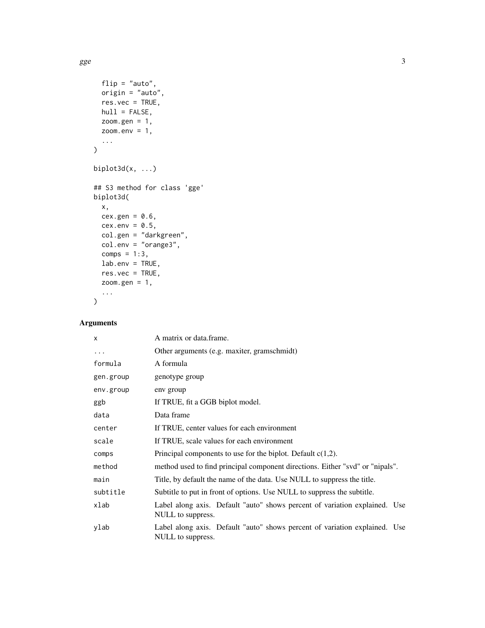$gge$  3

```
flip = "auto",origin = "auto",
 res.vec = TRUE,hull = FALSE,zoom.gen = 1,
 zoom.env = 1,
  ...
\mathcal{L}biplot3d(x, \ldots)## S3 method for class 'gge'
biplot3d(
 x,
 cex.gen = 0.6,
 cex.env = 0.5,
 col.gen = "darkgreen",
 col.env = "orange3",
 comps = 1:3,
 lab . env = TRUE,res.vec = TRUE,zoom.gen = 1,
  ...
\mathcal{L}
```
# Arguments

| $\times$  | A matrix or data frame.                                                                         |
|-----------|-------------------------------------------------------------------------------------------------|
| $\cdots$  | Other arguments (e.g. maxiter, gramschmidt)                                                     |
| formula   | A formula                                                                                       |
| gen.group | genotype group                                                                                  |
| env.group | env group                                                                                       |
| ggb       | If TRUE, fit a GGB biplot model.                                                                |
| data      | Data frame                                                                                      |
| center    | If TRUE, center values for each environment                                                     |
| scale     | If TRUE, scale values for each environment                                                      |
| comps     | Principal components to use for the biplot. Default $c(1,2)$ .                                  |
| method    | method used to find principal component directions. Either "svd" or "nipals".                   |
| main      | Title, by default the name of the data. Use NULL to suppress the title.                         |
| subtitle  | Subtitle to put in front of options. Use NULL to suppress the subtitle.                         |
| xlab      | Label along axis. Default "auto" shows percent of variation explained. Use<br>NULL to suppress. |
| ylab      | Label along axis. Default "auto" shows percent of variation explained. Use<br>NULL to suppress. |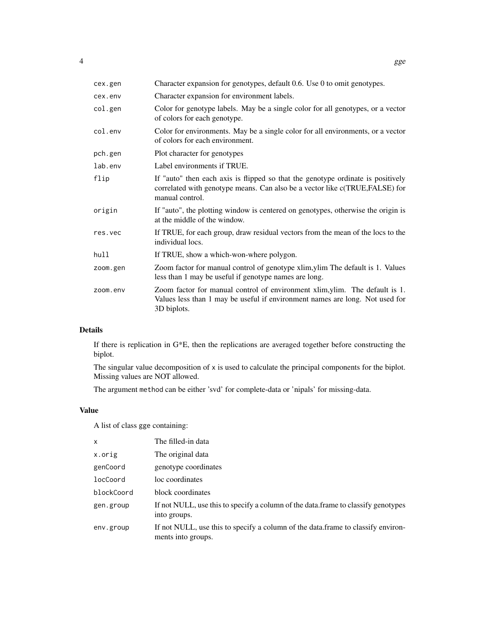| cex.gen  | Character expansion for genotypes, default 0.6. Use 0 to omit genotypes.                                                                                                           |
|----------|------------------------------------------------------------------------------------------------------------------------------------------------------------------------------------|
| cex.env  | Character expansion for environment labels.                                                                                                                                        |
| col.gen  | Color for genotype labels. May be a single color for all genotypes, or a vector<br>of colors for each genotype.                                                                    |
| col.env  | Color for environments. May be a single color for all environments, or a vector<br>of colors for each environment.                                                                 |
| pch.gen  | Plot character for genotypes                                                                                                                                                       |
| lab.env  | Label environments if TRUE.                                                                                                                                                        |
| flip     | If "auto" then each axis is flipped so that the genotype ordinate is positively<br>correlated with genotype means. Can also be a vector like c(TRUE, FALSE) for<br>manual control. |
| origin   | If "auto", the plotting window is centered on genotypes, otherwise the origin is<br>at the middle of the window.                                                                   |
| res.vec  | If TRUE, for each group, draw residual vectors from the mean of the locs to the<br>individual locs.                                                                                |
| hull     | If TRUE, show a which-won-where polygon.                                                                                                                                           |
| zoom.gen | Zoom factor for manual control of genotype xlim, ylim The default is 1. Values<br>less than 1 may be useful if genotype names are long.                                            |
| zoom.env | Zoom factor for manual control of environment xlim, ylim. The default is 1.<br>Values less than 1 may be useful if environment names are long. Not used for<br>3D biplots.         |

# Details

If there is replication in G\*E, then the replications are averaged together before constructing the biplot.

The singular value decomposition of x is used to calculate the principal components for the biplot. Missing values are NOT allowed.

The argument method can be either 'svd' for complete-data or 'nipals' for missing-data.

# Value

A list of class gge containing:

| $\mathsf{x}$ | The filled-in data                                                                                      |
|--------------|---------------------------------------------------------------------------------------------------------|
| x.orig       | The original data                                                                                       |
| genCoord     | genotype coordinates                                                                                    |
| locCoord     | loc coordinates                                                                                         |
| blockCoord   | block coordinates                                                                                       |
| gen.group    | If not NULL, use this to specify a column of the data. frame to classify genotypes<br>into groups.      |
| env.group    | If not NULL, use this to specify a column of the data. frame to classify environ-<br>ments into groups. |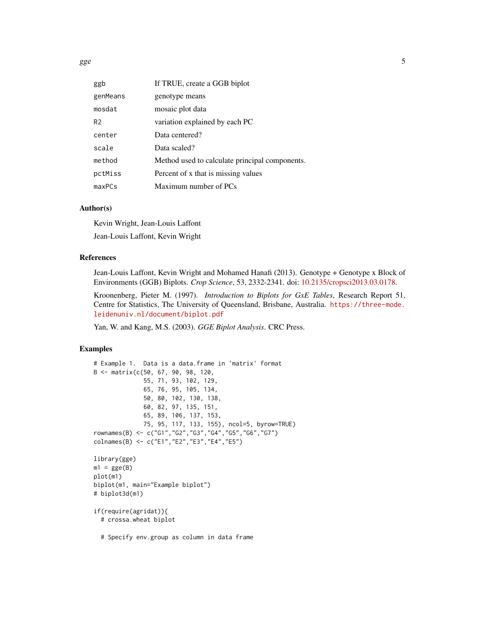$gge$  5

| ggb            | If TRUE, create a GGB biplot                   |
|----------------|------------------------------------------------|
| genMeans       | genotype means                                 |
| mosdat         | mosaic plot data                               |
| R <sub>2</sub> | variation explained by each PC                 |
| center         | Data centered?                                 |
| scale          | Data scaled?                                   |
| method         | Method used to calculate principal components. |
| pctMiss        | Percent of x that is missing values            |
| maxPCs         | Maximum number of PCs                          |

### Author(s)

Kevin Wright, Jean-Louis Laffont Jean-Louis Laffont, Kevin Wright

# References

Jean-Louis Laffont, Kevin Wright and Mohamed Hanafi (2013). Genotype + Genotype x Block of Environments (GGB) Biplots. *Crop Science*, 53, 2332-2341. doi: [10.2135/cropsci2013.03.0178.](https://doi.org/10.2135/cropsci2013.03.0178)

Kroonenberg, Pieter M. (1997). *Introduction to Biplots for GxE Tables*, Research Report 51, Centre for Statistics, The University of Queensland, Brisbane, Australia. [https://three-mode.](https://three-mode.leidenuniv.nl/document/biplot.pdf) [leidenuniv.nl/document/biplot.pdf](https://three-mode.leidenuniv.nl/document/biplot.pdf)

Yan, W. and Kang, M.S. (2003). *GGE Biplot Analysis*. CRC Press.

# Examples

```
# Example 1. Data is a data.frame in 'matrix' format
B <- matrix(c(50, 67, 90, 98, 120,
              55, 71, 93, 102, 129,
              65, 76, 95, 105, 134,
              50, 80, 102, 130, 138,
              60, 82, 97, 135, 151,
              65, 89, 106, 137, 153,
              75, 95, 117, 133, 155), ncol=5, byrow=TRUE)
rownames(B) <- c("G1","G2","G3","G4","G5","G6","G7")
colnames(B) <- c("E1","E2","E3","E4","E5")
library(gge)
m1 = gge(B)plot(m1)
biplot(m1, main="Example biplot")
# biplot3d(m1)
if(require(agridat)){
  # crossa.wheat biplot
  # Specify env.group as column in data frame
```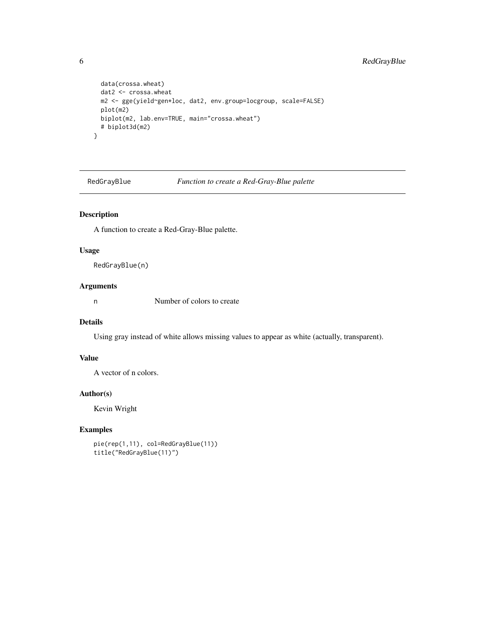```
data(crossa.wheat)
 dat2 <- crossa.wheat
 m2 <- gge(yield~gen*loc, dat2, env.group=locgroup, scale=FALSE)
 plot(m2)
 biplot(m2, lab.env=TRUE, main="crossa.wheat")
 # biplot3d(m2)
}
```
RedGrayBlue *Function to create a Red-Gray-Blue palette*

# Description

A function to create a Red-Gray-Blue palette.

# Usage

RedGrayBlue(n)

### Arguments

n Number of colors to create

## Details

Using gray instead of white allows missing values to appear as white (actually, transparent).

# Value

A vector of n colors.

## Author(s)

Kevin Wright

# Examples

```
pie(rep(1,11), col=RedGrayBlue(11))
title("RedGrayBlue(11)")
```
<span id="page-5-0"></span>